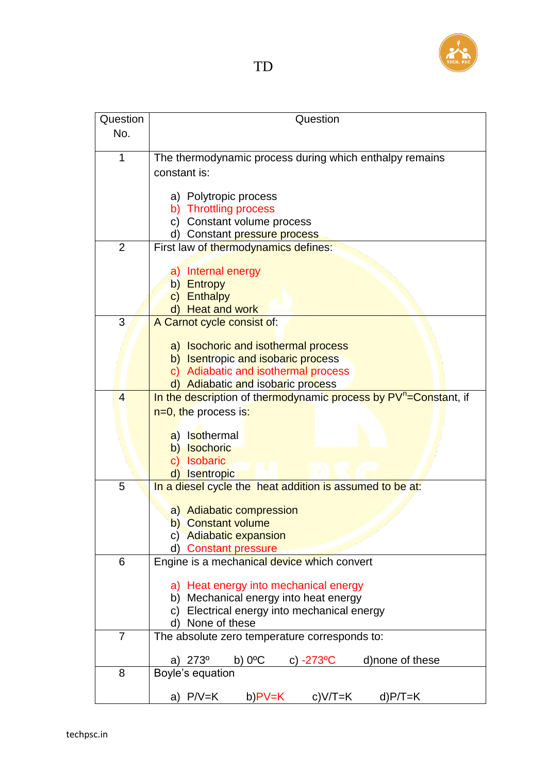

| Question       | Question                                                                     |
|----------------|------------------------------------------------------------------------------|
| No.            |                                                                              |
|                |                                                                              |
| 1              | The thermodynamic process during which enthalpy remains                      |
|                | constant is:                                                                 |
|                |                                                                              |
|                | a) Polytropic process                                                        |
|                | b) Throttling process                                                        |
|                | c) Constant volume process                                                   |
|                | d) Constant pressure process                                                 |
| 2              | First law of thermodynamics defines:                                         |
|                | Internal energy<br>a)                                                        |
|                | b) Entropy                                                                   |
|                | c) Enthalpy                                                                  |
|                | d) Heat and work                                                             |
| 3              | A Carnot cycle consist of:                                                   |
|                |                                                                              |
|                | a) Isochoric and isothermal process                                          |
|                | b) Isentropic and isobaric process                                           |
|                | c) Adiabatic and isothermal process                                          |
|                | d) Adiabatic and isobaric process                                            |
| $\overline{4}$ | In the description of thermodynamic process by PV <sup>n</sup> =Constant, if |
|                | $n=0$ , the process is:                                                      |
|                |                                                                              |
|                | a) Isothermal                                                                |
|                | b) Isochoric                                                                 |
|                | <b>Isobaric</b><br>$\mathsf{C}$<br>Isentropic                                |
| 5              | In a diesel cycle the heat addition is assumed to be at.                     |
|                |                                                                              |
|                | a) Adiabatic compression                                                     |
|                | b) Constant volume                                                           |
|                | c) Adiabatic expansion                                                       |
|                | d) Constant pressure                                                         |
| 6              | Engine is a mechanical device which convert                                  |
|                |                                                                              |
|                | a) Heat energy into mechanical energy                                        |
|                | b) Mechanical energy into heat energy                                        |
|                | c) Electrical energy into mechanical energy                                  |
|                | None of these<br>d)                                                          |
| $\overline{7}$ | The absolute zero temperature corresponds to:                                |
|                | $b)$ $0^{\circ}$ C<br>273°<br>c) $-273^{\circ}$ C<br>d) none of these<br>a)  |
| 8              | Boyle's equation                                                             |
|                |                                                                              |
|                | a) P/V=K<br>b)PV=K<br>c)V/T=K<br>$d$ ) $P/T = K$                             |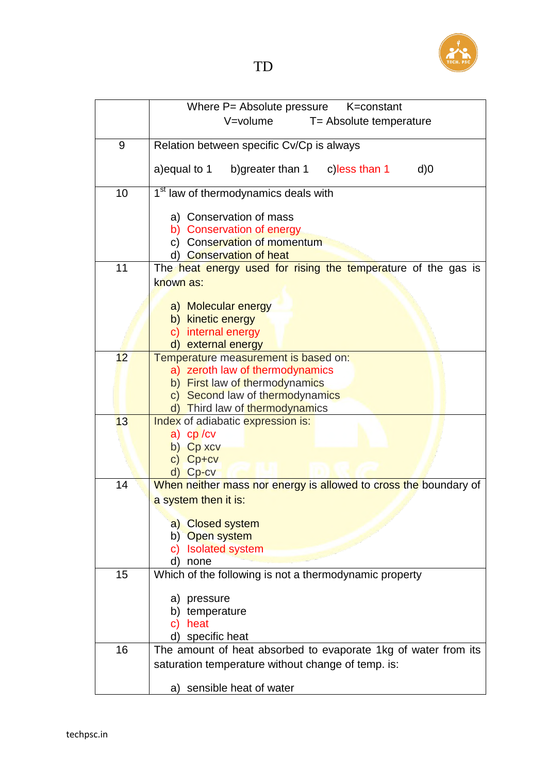

|                 | Where P= Absolute pressure<br>K=constant                          |
|-----------------|-------------------------------------------------------------------|
|                 |                                                                   |
|                 | V=volume<br>T= Absolute temperature                               |
|                 |                                                                   |
| 9               | Relation between specific Cv/Cp is always                         |
|                 | a) equal to 1                                                     |
|                 | b) greater than 1 c) less than 1<br>$d$ ) $0$                     |
| 10              | 1 <sup>st</sup> law of thermodynamics deals with                  |
|                 |                                                                   |
|                 | a) Conservation of mass                                           |
|                 | b) Conservation of energy                                         |
|                 | c) Conservation of momentum                                       |
|                 | d) Conservation of heat                                           |
| 11              | The heat energy used for rising the temperature of the gas is     |
|                 | known as:                                                         |
|                 |                                                                   |
|                 | a) Molecular energy                                               |
|                 | b) kinetic energy                                                 |
|                 |                                                                   |
|                 | c) internal energy                                                |
| 12 <sup>2</sup> | d) external energy<br>Temperature measurement is based on:        |
|                 | a) zeroth law of thermodynamics                                   |
|                 |                                                                   |
|                 | b) First law of thermodynamics                                    |
|                 | c) Second law of thermodynamics<br>d) Third law of thermodynamics |
| 13              |                                                                   |
|                 | Index of adiabatic expression is:<br>$a)$ cp/cv                   |
|                 | b) Cp xcv                                                         |
|                 |                                                                   |
|                 | $\mathsf{C}$<br>$Cp+cv$<br>d) Cp-cv                               |
| 14              |                                                                   |
|                 | When neither mass nor energy is allowed to cross the boundary of  |
|                 | a system then it is:                                              |
|                 |                                                                   |
|                 | a) Closed system<br><b>Open system</b>                            |
|                 | b)                                                                |
|                 | <b>Isolated system</b><br>C)<br>d) none                           |
| 15              | Which of the following is not a thermodynamic property            |
|                 |                                                                   |
|                 | a) pressure                                                       |
|                 | b) temperature                                                    |
|                 | heat<br>C)                                                        |
|                 | d) specific heat                                                  |
| 16              |                                                                   |
|                 | The amount of heat absorbed to evaporate 1kg of water from its    |
|                 | saturation temperature without change of temp. is:                |
|                 |                                                                   |
|                 | a) sensible heat of water                                         |